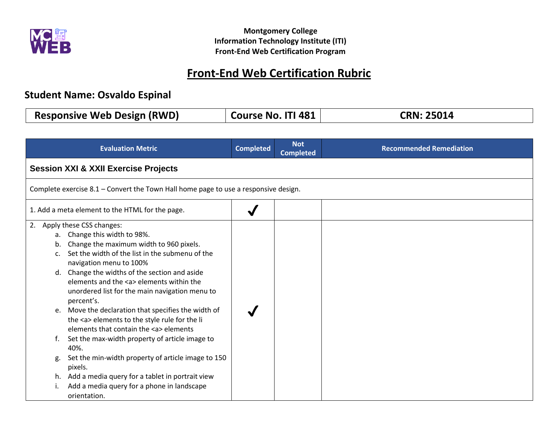

# **Front-End Web Certification Rubric**

## **Student Name: Osvaldo Espinal**

| <b>Responsive Web Design (RWD)</b> | Course No. ITI 481 | <b>CRN: 25014</b> |
|------------------------------------|--------------------|-------------------|
|                                    |                    |                   |

| <b>Evaluation Metric</b>                                                                                                                                                                                                                                                                                                                                                                                                                                                                                                                                                                                                                                                                                                                                                                                | <b>Completed</b> | <b>Not</b><br><b>Completed</b> | <b>Recommended Remediation</b> |  |
|---------------------------------------------------------------------------------------------------------------------------------------------------------------------------------------------------------------------------------------------------------------------------------------------------------------------------------------------------------------------------------------------------------------------------------------------------------------------------------------------------------------------------------------------------------------------------------------------------------------------------------------------------------------------------------------------------------------------------------------------------------------------------------------------------------|------------------|--------------------------------|--------------------------------|--|
| <b>Session XXI &amp; XXII Exercise Projects</b>                                                                                                                                                                                                                                                                                                                                                                                                                                                                                                                                                                                                                                                                                                                                                         |                  |                                |                                |  |
| Complete exercise 8.1 - Convert the Town Hall home page to use a responsive design.                                                                                                                                                                                                                                                                                                                                                                                                                                                                                                                                                                                                                                                                                                                     |                  |                                |                                |  |
| 1. Add a meta element to the HTML for the page.                                                                                                                                                                                                                                                                                                                                                                                                                                                                                                                                                                                                                                                                                                                                                         |                  |                                |                                |  |
| 2. Apply these CSS changes:<br>a. Change this width to 98%.<br>Change the maximum width to 960 pixels.<br>b.<br>Set the width of the list in the submenu of the<br>c.<br>navigation menu to 100%<br>Change the widths of the section and aside<br>d.<br>elements and the <a> elements within the<br/>unordered list for the main navigation menu to<br/>percent's.<br/>e. Move the declaration that specifies the width of<br/>the <a> elements to the style rule for the li<br/>elements that contain the <a> elements<br/>Set the max-width property of article image to<br/>f.<br/>40%.<br/>Set the min-width property of article image to 150<br/>g.<br/>pixels.<br/>h. Add a media query for a tablet in portrait view<br/>Add a media query for a phone in landscape<br/>orientation.</a></a></a> |                  |                                |                                |  |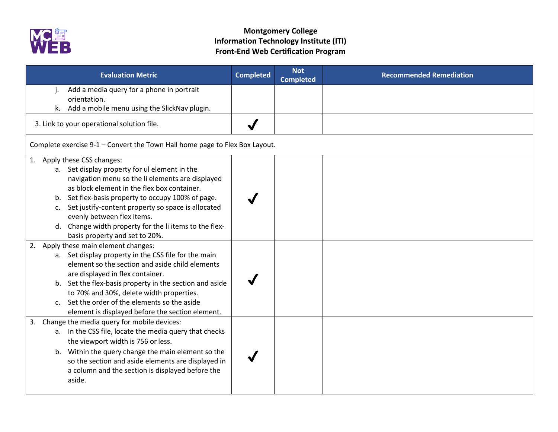

| <b>Evaluation Metric</b>                                                                 | <b>Completed</b> | <b>Not</b><br><b>Completed</b> | <b>Recommended Remediation</b> |
|------------------------------------------------------------------------------------------|------------------|--------------------------------|--------------------------------|
| Add a media query for a phone in portrait<br>$\mathbf{L}$                                |                  |                                |                                |
| orientation.                                                                             |                  |                                |                                |
| k. Add a mobile menu using the SlickNav plugin.                                          |                  |                                |                                |
| 3. Link to your operational solution file.                                               |                  |                                |                                |
| Complete exercise 9-1 - Convert the Town Hall home page to Flex Box Layout.              |                  |                                |                                |
| 1. Apply these CSS changes:                                                              |                  |                                |                                |
| a. Set display property for ul element in the                                            |                  |                                |                                |
| navigation menu so the li elements are displayed                                         |                  |                                |                                |
| as block element in the flex box container.                                              |                  |                                |                                |
| b. Set flex-basis property to occupy 100% of page.                                       |                  |                                |                                |
| Set justify-content property so space is allocated<br>c.                                 |                  |                                |                                |
| evenly between flex items.                                                               |                  |                                |                                |
| d. Change width property for the li items to the flex-<br>basis property and set to 20%. |                  |                                |                                |
| 2. Apply these main element changes:                                                     |                  |                                |                                |
| a. Set display property in the CSS file for the main                                     |                  |                                |                                |
| element so the section and aside child elements                                          |                  |                                |                                |
| are displayed in flex container.                                                         |                  |                                |                                |
| b. Set the flex-basis property in the section and aside                                  |                  |                                |                                |
| to 70% and 30%, delete width properties.                                                 |                  |                                |                                |
| c. Set the order of the elements so the aside                                            |                  |                                |                                |
| element is displayed before the section element.                                         |                  |                                |                                |
| Change the media query for mobile devices:<br>3.                                         |                  |                                |                                |
| a. In the CSS file, locate the media query that checks                                   |                  |                                |                                |
| the viewport width is 756 or less.                                                       |                  |                                |                                |
| Within the query change the main element so the<br>b.                                    |                  |                                |                                |
| so the section and aside elements are displayed in                                       |                  |                                |                                |
| a column and the section is displayed before the                                         |                  |                                |                                |
| aside.                                                                                   |                  |                                |                                |
|                                                                                          |                  |                                |                                |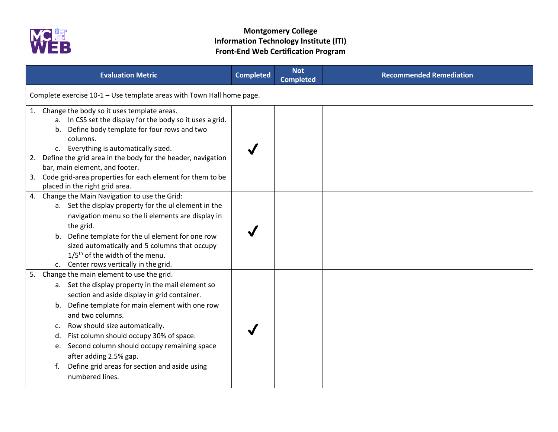

| <b>Evaluation Metric</b>                                                                                                                                                                                                                                                                                                                                                                                                                                              | <b>Completed</b> | <b>Not</b><br><b>Completed</b> | <b>Recommended Remediation</b> |  |  |
|-----------------------------------------------------------------------------------------------------------------------------------------------------------------------------------------------------------------------------------------------------------------------------------------------------------------------------------------------------------------------------------------------------------------------------------------------------------------------|------------------|--------------------------------|--------------------------------|--|--|
| Complete exercise 10-1 - Use template areas with Town Hall home page.                                                                                                                                                                                                                                                                                                                                                                                                 |                  |                                |                                |  |  |
| 1. Change the body so it uses template areas.<br>a. In CSS set the display for the body so it uses a grid.<br>b. Define body template for four rows and two<br>columns.<br>c. Everything is automatically sized.<br>Define the grid area in the body for the header, navigation<br>2.<br>bar, main element, and footer.<br>3. Code grid-area properties for each element for them to be<br>placed in the right grid area.                                             |                  |                                |                                |  |  |
| 4. Change the Main Navigation to use the Grid:<br>a. Set the display property for the ul element in the<br>navigation menu so the li elements are display in<br>the grid.<br>b. Define template for the ul element for one row<br>sized automatically and 5 columns that occupy<br>$1/5$ <sup>th</sup> of the width of the menu.<br>c. Center rows vertically in the grid.                                                                                            |                  |                                |                                |  |  |
| 5. Change the main element to use the grid.<br>a. Set the display property in the mail element so<br>section and aside display in grid container.<br>b. Define template for main element with one row<br>and two columns.<br>Row should size automatically.<br>c.<br>Fist column should occupy 30% of space.<br>d.<br>Second column should occupy remaining space<br>e.<br>after adding 2.5% gap.<br>Define grid areas for section and aside using<br>numbered lines. |                  |                                |                                |  |  |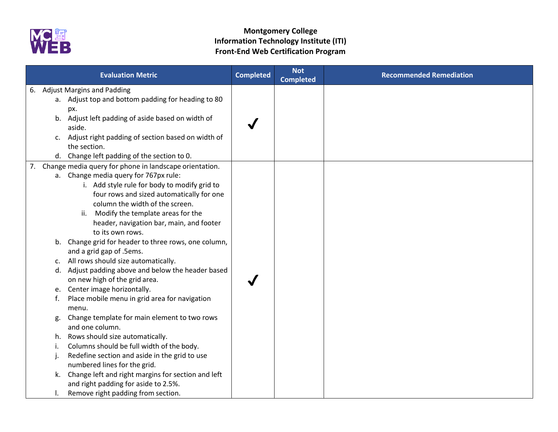

|                            | <b>Evaluation Metric</b>                                                                                                                                                                                                                                                                                                                                                                                                                                                                                                                                                                                                                                                                                                                                                                                                                                                                                                                                                                                                            | <b>Completed</b> | <b>Not</b><br><b>Completed</b> | <b>Recommended Remediation</b> |
|----------------------------|-------------------------------------------------------------------------------------------------------------------------------------------------------------------------------------------------------------------------------------------------------------------------------------------------------------------------------------------------------------------------------------------------------------------------------------------------------------------------------------------------------------------------------------------------------------------------------------------------------------------------------------------------------------------------------------------------------------------------------------------------------------------------------------------------------------------------------------------------------------------------------------------------------------------------------------------------------------------------------------------------------------------------------------|------------------|--------------------------------|--------------------------------|
| 6.<br>px.                  | <b>Adjust Margins and Padding</b><br>a. Adjust top and bottom padding for heading to 80<br>b. Adjust left padding of aside based on width of<br>aside.<br>c. Adjust right padding of section based on width of<br>the section.<br>d. Change left padding of the section to 0.                                                                                                                                                                                                                                                                                                                                                                                                                                                                                                                                                                                                                                                                                                                                                       |                  |                                |                                |
| g.<br>h.<br>Ι.<br>k.<br>L. | 7. Change media query for phone in landscape orientation.<br>a. Change media query for 767px rule:<br>i. Add style rule for body to modify grid to<br>four rows and sized automatically for one<br>column the width of the screen.<br>ii. Modify the template areas for the<br>header, navigation bar, main, and footer<br>to its own rows.<br>b. Change grid for header to three rows, one column,<br>and a grid gap of .5ems.<br>c. All rows should size automatically.<br>d. Adjust padding above and below the header based<br>on new high of the grid area.<br>e. Center image horizontally.<br>Place mobile menu in grid area for navigation<br>menu.<br>Change template for main element to two rows<br>and one column.<br>Rows should size automatically.<br>Columns should be full width of the body.<br>Redefine section and aside in the grid to use<br>numbered lines for the grid.<br>Change left and right margins for section and left<br>and right padding for aside to 2.5%.<br>Remove right padding from section. |                  |                                |                                |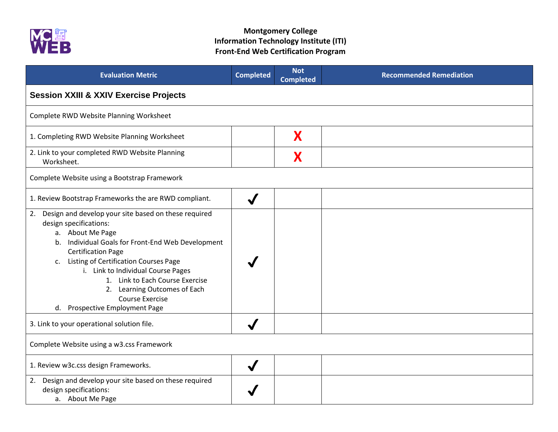

| <b>Evaluation Metric</b>                                                                                                                                                                                                                                                                                                                                                                                       | <b>Completed</b> | <b>Not</b><br><b>Completed</b> | <b>Recommended Remediation</b> |  |
|----------------------------------------------------------------------------------------------------------------------------------------------------------------------------------------------------------------------------------------------------------------------------------------------------------------------------------------------------------------------------------------------------------------|------------------|--------------------------------|--------------------------------|--|
| <b>Session XXIII &amp; XXIV Exercise Projects</b>                                                                                                                                                                                                                                                                                                                                                              |                  |                                |                                |  |
| Complete RWD Website Planning Worksheet                                                                                                                                                                                                                                                                                                                                                                        |                  |                                |                                |  |
| 1. Completing RWD Website Planning Worksheet                                                                                                                                                                                                                                                                                                                                                                   |                  | X                              |                                |  |
| 2. Link to your completed RWD Website Planning<br>Worksheet.                                                                                                                                                                                                                                                                                                                                                   |                  | X                              |                                |  |
| Complete Website using a Bootstrap Framework                                                                                                                                                                                                                                                                                                                                                                   |                  |                                |                                |  |
| 1. Review Bootstrap Frameworks the are RWD compliant.                                                                                                                                                                                                                                                                                                                                                          |                  |                                |                                |  |
| Design and develop your site based on these required<br>2.<br>design specifications:<br>a. About Me Page<br>b. Individual Goals for Front-End Web Development<br><b>Certification Page</b><br>c. Listing of Certification Courses Page<br>i. Link to Individual Course Pages<br>1. Link to Each Course Exercise<br>2. Learning Outcomes of Each<br><b>Course Exercise</b><br>Prospective Employment Page<br>d. |                  |                                |                                |  |
| 3. Link to your operational solution file.                                                                                                                                                                                                                                                                                                                                                                     |                  |                                |                                |  |
| Complete Website using a w3.css Framework                                                                                                                                                                                                                                                                                                                                                                      |                  |                                |                                |  |
| 1. Review w3c.css design Frameworks.                                                                                                                                                                                                                                                                                                                                                                           | $\checkmark$     |                                |                                |  |
| Design and develop your site based on these required<br>2.<br>design specifications:<br>a. About Me Page                                                                                                                                                                                                                                                                                                       |                  |                                |                                |  |